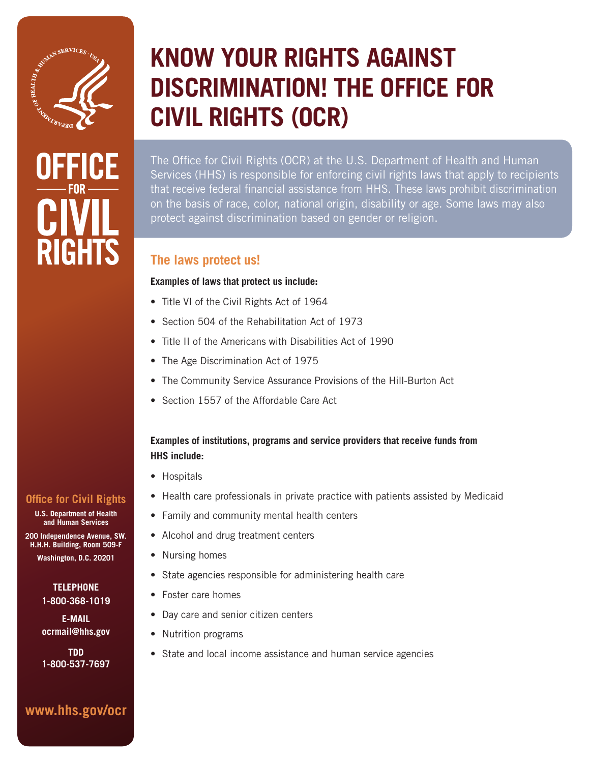

# GHT

# **KNOW YOUR RIGHTS AGAINST DISCRIMINATION! THE OFFICE FOR CIVIL RIGHTS (OCR)**

The Office for Civil Rights (OCR) at the U.S. Department of Health and Human Services (HHS) is responsible for enforcing civil rights laws that apply to recipients that receive federal financial assistance from HHS. These laws prohibit discrimination on the basis of race, color, national origin, disability or age. Some laws may also protect against discrimination based on gender or religion.

# **The laws protect us!**

#### **Examples of laws that protect us include:**

- Title VI of the Civil Rights Act of 1964
- Section 504 of the Rehabilitation Act of 1973
- Title II of the Americans with Disabilities Act of 1990
- The Age Discrimination Act of 1975
- The Community Service Assurance Provisions of the Hill-Burton Act
- Section 1557 of the Affordable Care Act

#### **Examples of institutions, programs and service providers that receive funds from HHS include:**

- Hospitals
- Health care professionals in private practice with patients assisted by Medicaid
- Family and community mental health centers
- Alcohol and drug treatment centers
- Nursing homes
- State agencies responsible for administering health care
- Foster care homes
- Day care and senior citizen centers
- Nutrition programs
- State and local income assistance and human service agencies

### **Office for Civil Rights**

**U.S. Department of Health and Human Services** 

**200 Independence Avenue, SW. H.H.H. Building, Room 509-F Washington, D.C. 20201** 

#### **TELEPHONE 1-800-368-1019**

**E-MAIL ocrmail@hhs.gov**

**TDD 1-800-537-7697**

# **www.hhs.gov/ocr**